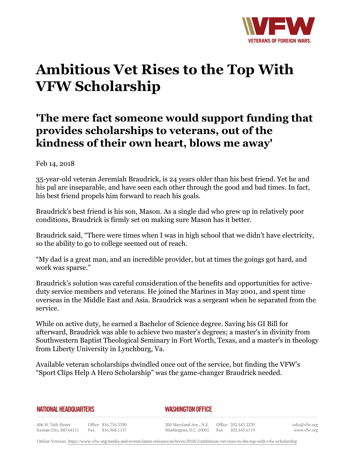

## **Ambitious Vet Rises to the Top With VFW Scholarship**

## **'The mere fact someone would support funding that provides scholarships to veterans, out of the kindness of their own heart, blows me away'**

## Feb 14, 2018

35-year-old veteran Jeremiah Braudrick, is 24 years older than his best friend. Yet he and his pal are inseparable, and have seen each other through the good and bad times. In fact, his best friend propels him forward to reach his goals.

Braudrick's best friend is his son, Mason. As a single dad who grew up in relatively poor conditions, Braudrick is firmly set on making sure Mason has it better.

Braudrick said, "There were times when I was in high school that we didn't have electricity, so the ability to go to college seemed out of reach.

"My dad is a great man, and an incredible provider, but at times the goings got hard, and work was sparse."

Braudrick's solution was careful consideration of the benefits and opportunities for activeduty service members and veterans. He joined the Marines in May 2001, and spent time overseas in the Middle East and Asia. Braudrick was a sergeant when he separated from the service.

While on active duty, he earned a Bachelor of Science degree. Saving his GI Bill for afterward, Braudrick was able to achieve two master's degrees; a master's in divinity from Southwestern Baptist Theological Seminary in Fort Worth, Texas, and a master's in theology from Liberty University in Lynchburg, Va.

Available veteran scholarships dwindled once out of the service, but finding the VFW's "Sport Clips Help A Hero Scholarship" was the game-changer Braudrick needed.

## **NATIONAL HEADQUARTERS**

*WASHINGTON OFFICE* 

406 W. 34th Street Office 816.756.3390 Kansas City, MO 64111 Fax 816.968.1157

200 Maryland Ave., N.E. Washington, D.C. 20002

Office 202.543.2239 Fax 202.543.6719 info@vfw.org www.vfw.org

Online Version:<https://www.vfw.org/media-and-events/latest-releases/archives/2018/2/ambitious-vet-rises-to-the-top-with-vfw-scholarship>